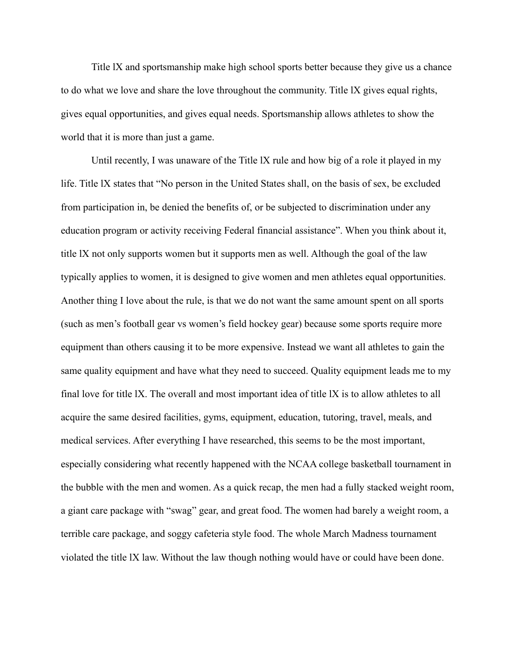Title lX and sportsmanship make high school sports better because they give us a chance to do what we love and share the love throughout the community. Title lX gives equal rights, gives equal opportunities, and gives equal needs. Sportsmanship allows athletes to show the world that it is more than just a game.

Until recently, I was unaware of the Title lX rule and how big of a role it played in my life. Title lX states that "No person in the United States shall, on the basis of sex, be excluded from participation in, be denied the benefits of, or be subjected to discrimination under any education program or activity receiving Federal financial assistance". When you think about it, title lX not only supports women but it supports men as well. Although the goal of the law typically applies to women, it is designed to give women and men athletes equal opportunities. Another thing I love about the rule, is that we do not want the same amount spent on all sports (such as men's football gear vs women's field hockey gear) because some sports require more equipment than others causing it to be more expensive. Instead we want all athletes to gain the same quality equipment and have what they need to succeed. Quality equipment leads me to my final love for title lX. The overall and most important idea of title lX is to allow athletes to all acquire the same desired facilities, gyms, equipment, education, tutoring, travel, meals, and medical services. After everything I have researched, this seems to be the most important, especially considering what recently happened with the NCAA college basketball tournament in the bubble with the men and women. As a quick recap, the men had a fully stacked weight room, a giant care package with "swag" gear, and great food. The women had barely a weight room, a terrible care package, and soggy cafeteria style food. The whole March Madness tournament violated the title lX law. Without the law though nothing would have or could have been done.